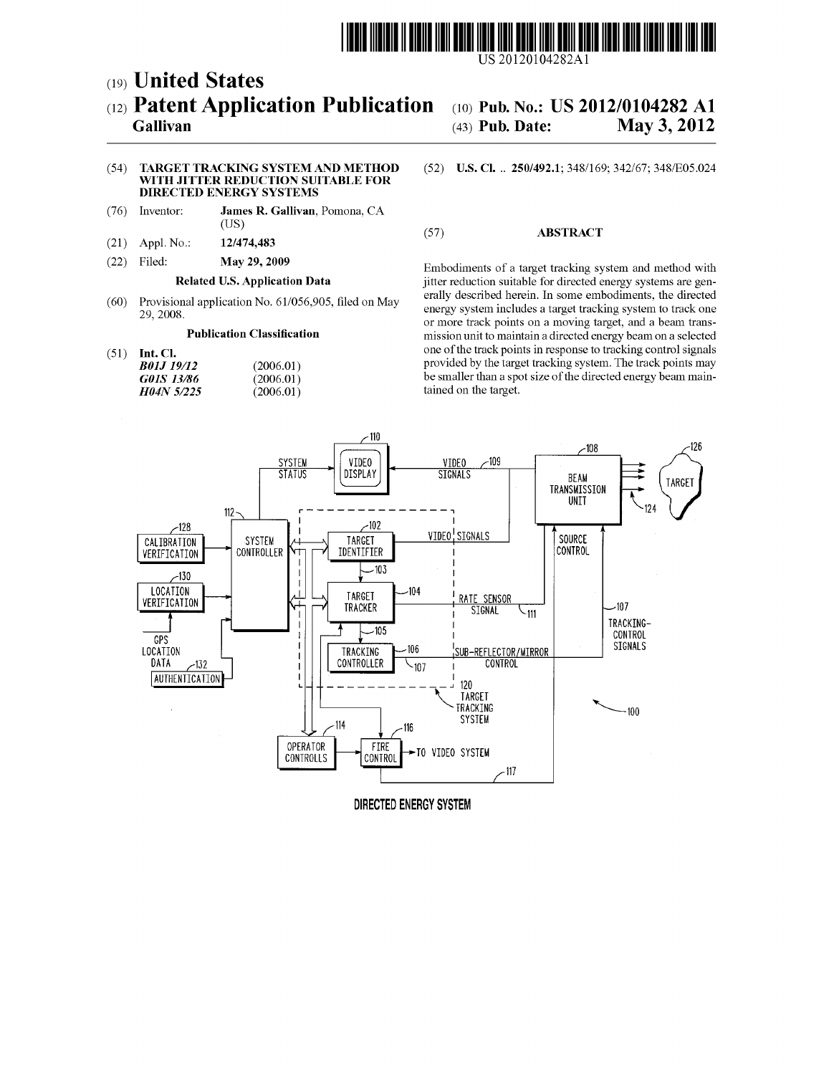

US 2012O104282A1

# (19) United States (12) Patent Application Publication (10) Pub. No.: US 2012/0104282 A1 Gallivan (43) Pub. Date: May 3, 2012

May 3, 2012

### (54) TARGET TRACKING SYSTEMAND METHOD WITH JITTER REDUCTION SUITABLE FOR DIRECTED ENERGY SYSTEMS

- (76) Inventor: James R. Gallivan, Pomona, CA
- $(21)$  Appl. No.:
- 

| ,,,,,,,,,, | 12000.   |
|------------|----------|
| G01S 13/86 | (2006.0) |
| H04N 5/225 | (2006.0) |
|            |          |

## (US)  $\overline{12}/474.483$  (57) ABSTRACT

(22) Filed: May 29, 2009 Embodiments of a target tracking system and method with<br>Related U.S. Application Data ijitter reduction suitable for directed energy systems are genjitter reduction suitable for directed energy systems are generally described herein. In some embodiments, the directed (60) Provisional application No.  $61/056,905$ , filed on May eraily described herein. In some embodiments, the directed energy system includes a target tracking system to track one 29, 2008. or more track points on a moving target, and a beam trans-<br>Publication Classification metal of mission unit to maintain a directed energy beam on a selected mission unit to maintain a directed energy beam on a selected (51) Int. Cl. one of the track points in response to tracking control signals<br> **B01J 19/12** (2006.01) (2006.01) (2006.01) (2006.01) provided by the target tracking system. The track points may  $\begin{array}{c}\n 01 \\
 01 \\
 01\n \end{array}$  be smaller than a spot size of the directed energy beam main-<br>  $\begin{array}{c}\n 01 \\
 01\n \end{array}$ tained on the target.



DIRECTED ENERGY SYSTEM

## (52) U.S. Cl. .. 250/492.1; 348/169; 342/67; 348/E05.024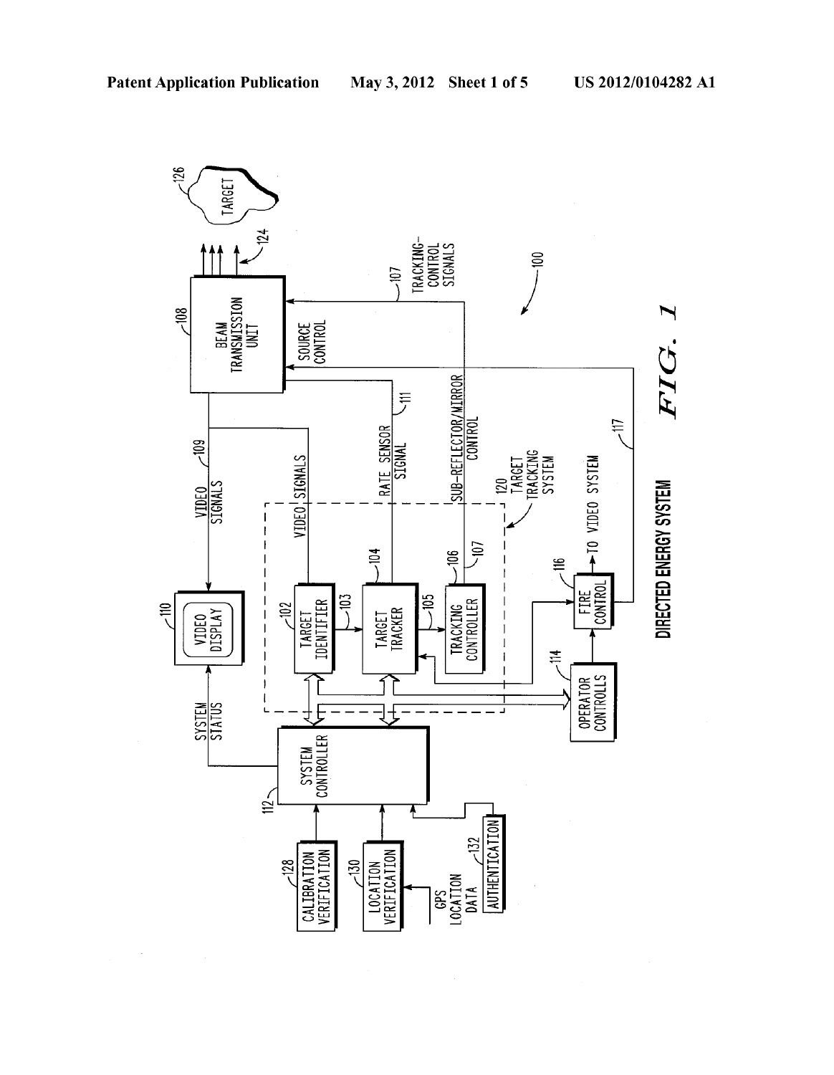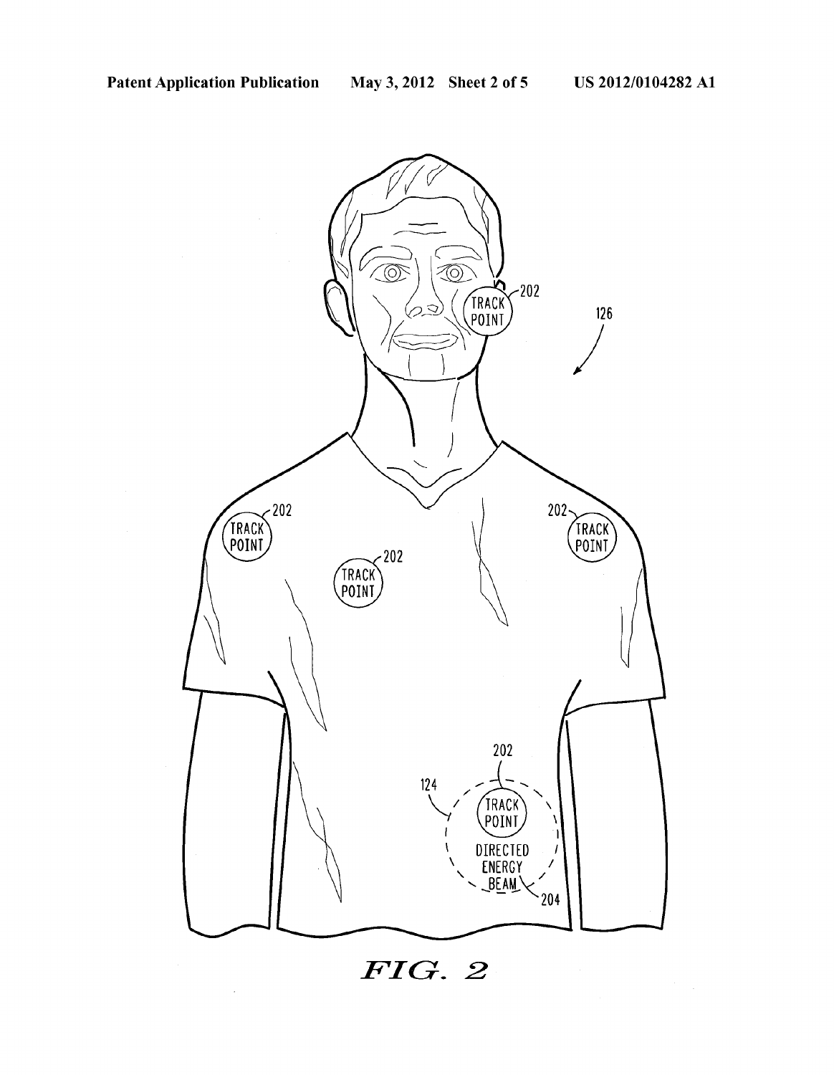

## $FIG. 2$

 $\bar{z}$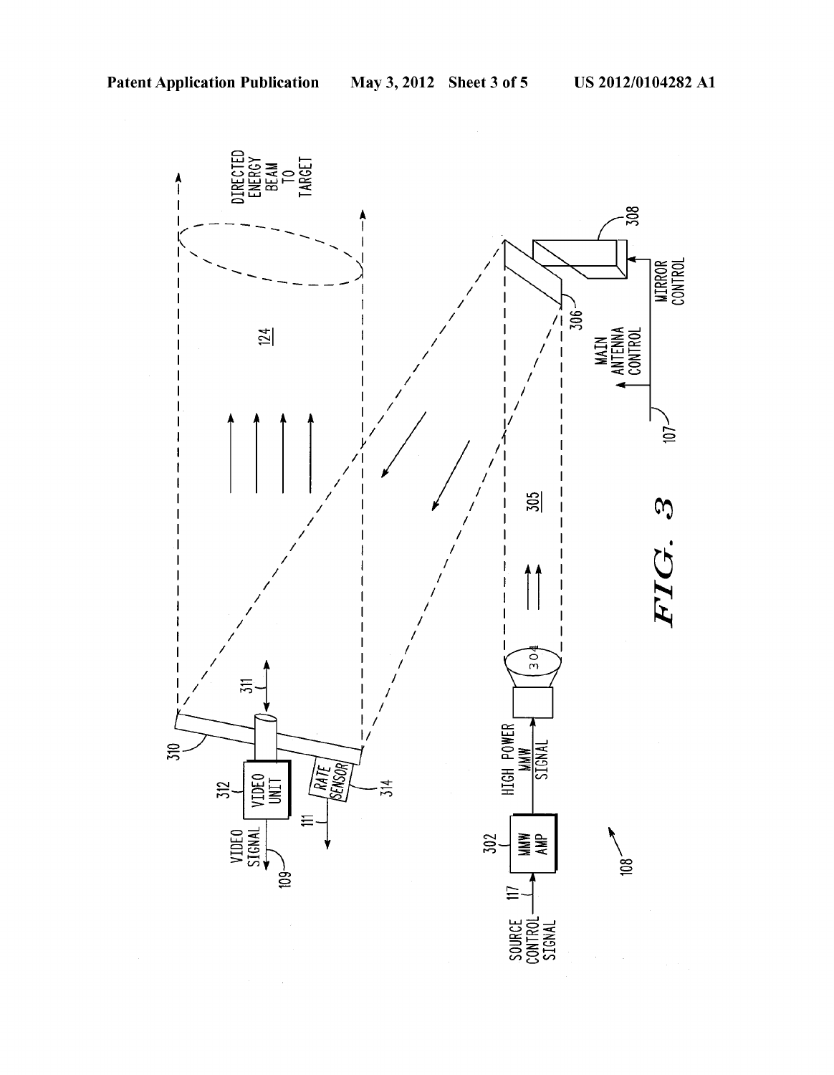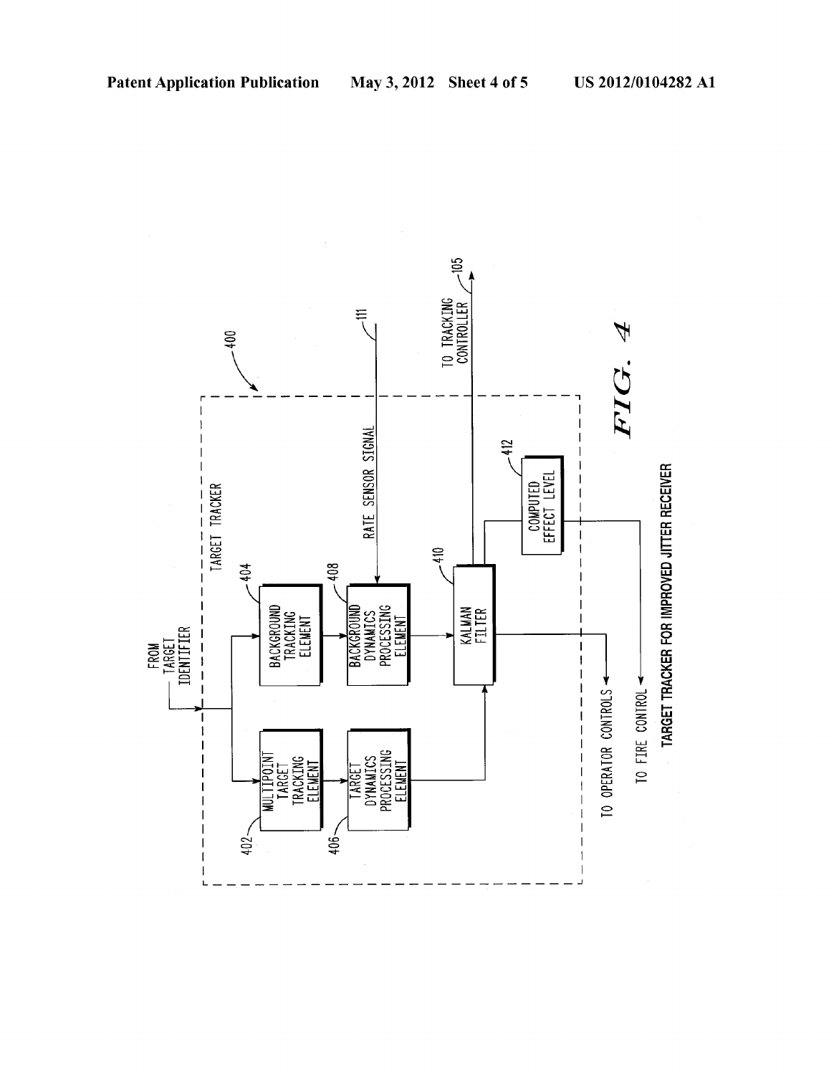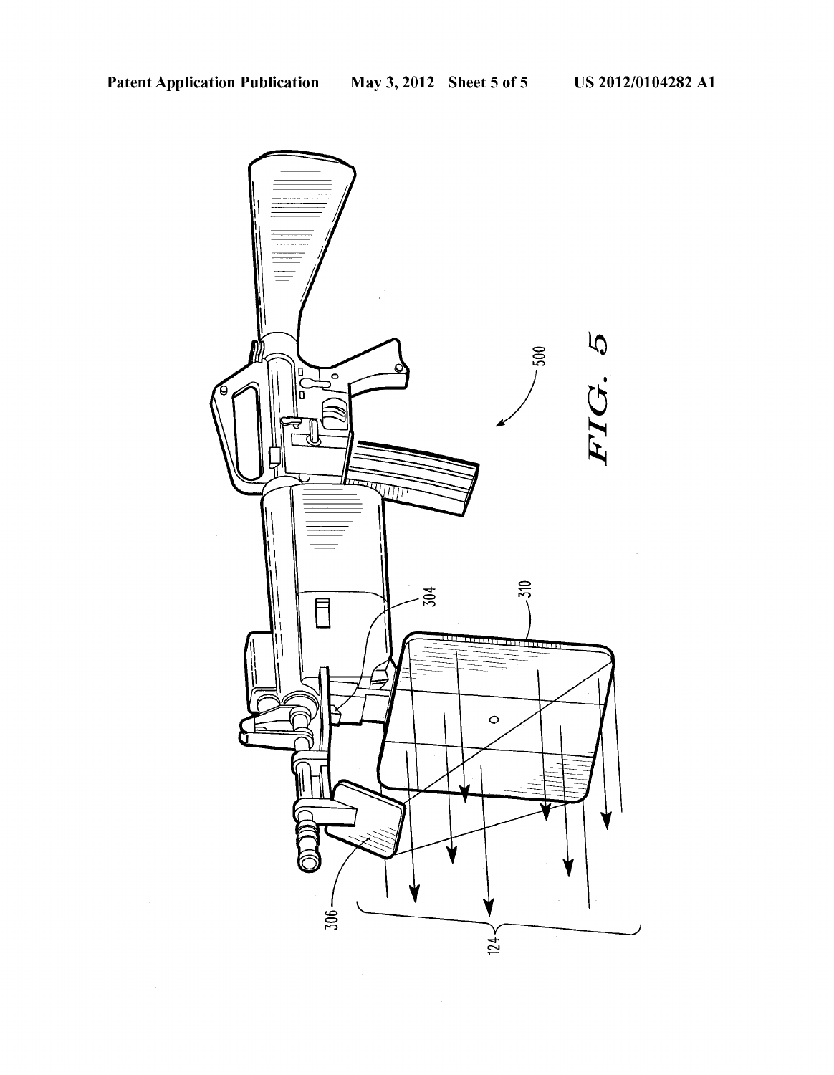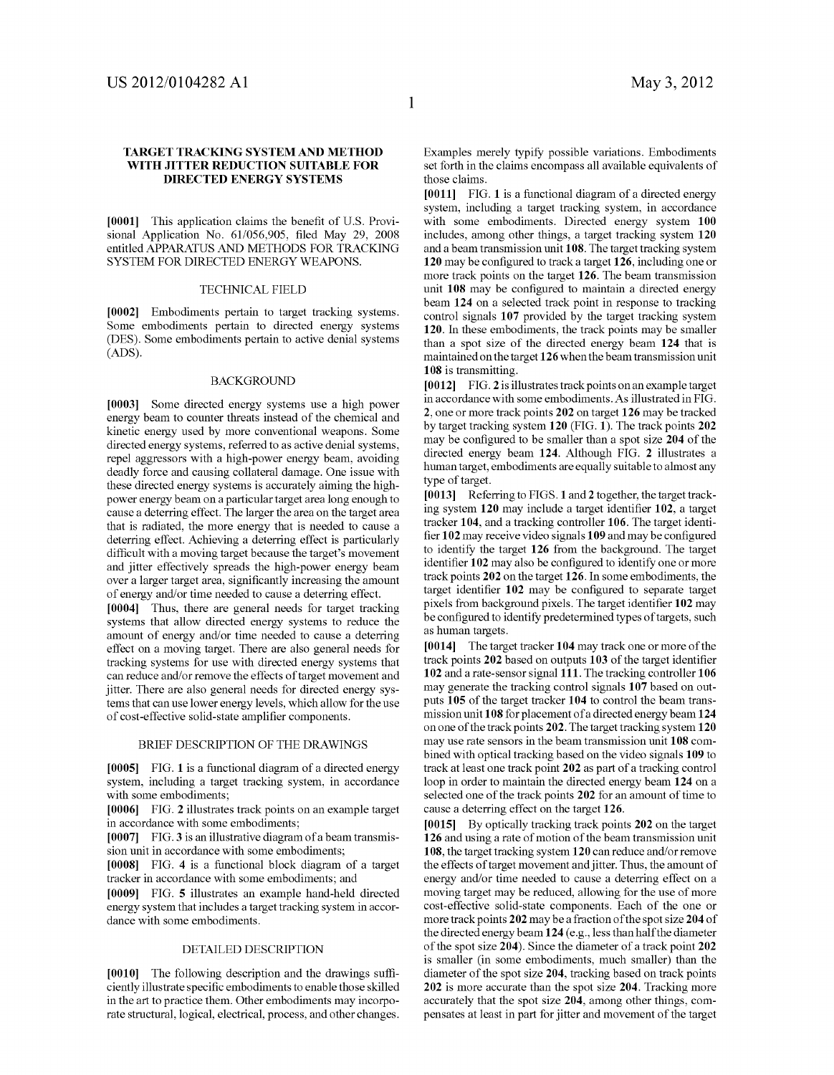### TARGET TRACKING SYSTEMAND METHOD WITH JITTER REDUCTION SUITABLE FOR DIRECTED ENERGY SYSTEMIS

[0001] This application claims the benefit of U.S. Provisional Application No. 61/056,905, filed May 29, 2008 entitled APPARATUS AND METHODS FOR TRACKING SYSTEM FOR DIRECTED ENERGY WEAPONS

### TECHNICAL FIELD

[0002] Embodiments pertain to target tracking systems. Some embodiments pertain to directed energy systems (DES). Some embodiments pertain to active denial systems (ADS).

### **BACKGROUND**

[0003] Some directed energy systems use a high power energy beam to counter threats instead of the chemical and kinetic energy used by more conventional weapons. Some directed energy systems, referred to as active denial systems, repel aggressors with a high-power energy beam, avoiding deadly force and causing collateral damage. One issue with these directed energy systems is accurately aiming the high power energy beam on a particular target area long enough to cause a deterring effect. The larger the area on the target area that is radiated, the more energy that is needed to cause a deterring effect. Achieving a deterring effect is particularly difficult with a moving target because the target's movement and jitter effectively spreads the high-power energy beam over a larger target area, significantly increasing the amount of energy and/or time needed to cause a deterring effect.

[0004] Thus, there are general needs for target tracking systems that allow directed energy systems to reduce the amount of energy and/or time needed to cause a deterring effect on a moving target. There are also general needs for tracking systems for use with directed energy systems that can reduce and/or remove the effects of target movement and jitter. There are also general needs for directed energy systems that can use lower energy levels, which allow for the use of cost-effective solid-state amplifier components.

### BRIEF DESCRIPTION OF THE DRAWINGS

[0005] FIG. 1 is a functional diagram of a directed energy system, including a target tracking system, in accordance with some embodiments;

[0006] FIG. 2 illustrates track points on an example target in accordance with some embodiments;

 $[0007]$  FIG. 3 is an illustrative diagram of a beam transmission unit in accordance with some embodiments;

[0008] FIG. 4 is a functional block diagram of a target tracker in accordance with some embodiments; and

0009 FIG. 5 illustrates an example hand-held directed energy system that includes a target tracking system in accor dance with some embodiments.

### DETAILED DESCRIPTION

[0010] The following description and the drawings sufficiently illustrate specific embodiments to enable those skilled in the art to practice them. Other embodiments may incorpo rate structural, logical, electrical, process, and other changes.

Examples merely typify possible variations. Embodiments set forth in the claims encompass all available equivalents of those claims.

[0011] FIG. 1 is a functional diagram of a directed energy system, including a target tracking system, in accordance with some embodiments. Directed energy system 100 includes, among other things, a target tracking system 120 and a beam transmission unit 108. The target tracking system 120 may be configured to track a target 126, including one or more track points on the target 126. The beam transmission unit 108 may be configured to maintain a directed energy beam 124 on a selected track point in response to tracking control signals 107 provided by the target tracking system 120. In these embodiments, the track points may be smaller than a spot size of the directed energy beam 124 that is maintained on the target 126 when the beam transmission unit 108 is transmitting.

 $[0012]$  FIG. 2 is illustrates track points on an example target in accordance with some embodiments. As illustrated in FIG. 2, one or more track points 202 on target 126 may be tracked by target tracking system 120 (FIG. 1). The track points 202 may be configured to be smaller than a spot size 204 of the directed energy beam 124. Although FIG. 2 illustrates a human target, embodiments are equally suitable to almost any type of target.

[0013] Referring to FIGS. 1 and 2 together, the target tracking system 120 may include a target identifier 102, a target tracker 104, and a tracking controller 106. The target identi fier 102 may receive video signals 109 and may be configured to identify the target 126 from the background. The target identifier 102 may also be configured to identify one or more track points 202 on the target 126. In some embodiments, the target identifier 102 may be configured to separate target pixels from background pixels. The target identifier 102 may be configured to identify predetermined types of targets, such as human targets.

[0014] The target tracker 104 may track one or more of the track points 202 based on outputs 103 of the target identifier 102 and a rate-sensor signal 111. The tracking controller 106 may generate the tracking control signals 107 based on out puts 105 of the target tracker 104 to control the beam trans mission unit 108 for placement of a directed energy beam 124 on one of the track points 202. The target tracking system 120 may use rate sensors in the beam transmission unit 108 com bined with optical tracking based on the video signals 109 to track at least one track point 202 as part of a tracking control loop in order to maintain the directed energy beam 124 on a selected one of the track points 202 for an amount of time to cause a deterring effect on the target 126.

[0015] By optically tracking track points 202 on the target 126 and using a rate of motion of the beam transmission unit 108, the target tracking system 120 can reduce and/or remove the effects of target movement and jitter. Thus, the amount of energy and/or time needed to cause a deterring effect on a moving target may be reduced, allowing for the use of more cost-effective solid-state components. Each of the one or more track points 202 may be a fraction of the spot size 204 of the directed energy beam 124 (e.g., less than half the diameter of the spot size 204). Since the diameter of a track point 202 is Smaller (in some embodiments, much smaller) than the diameter of the spot size 204, tracking based on track points 202 is more accurate than the spot size 204. Tracking more accurately that the spot size 204, among other things, com pensates at least in part for jitter and movement of the target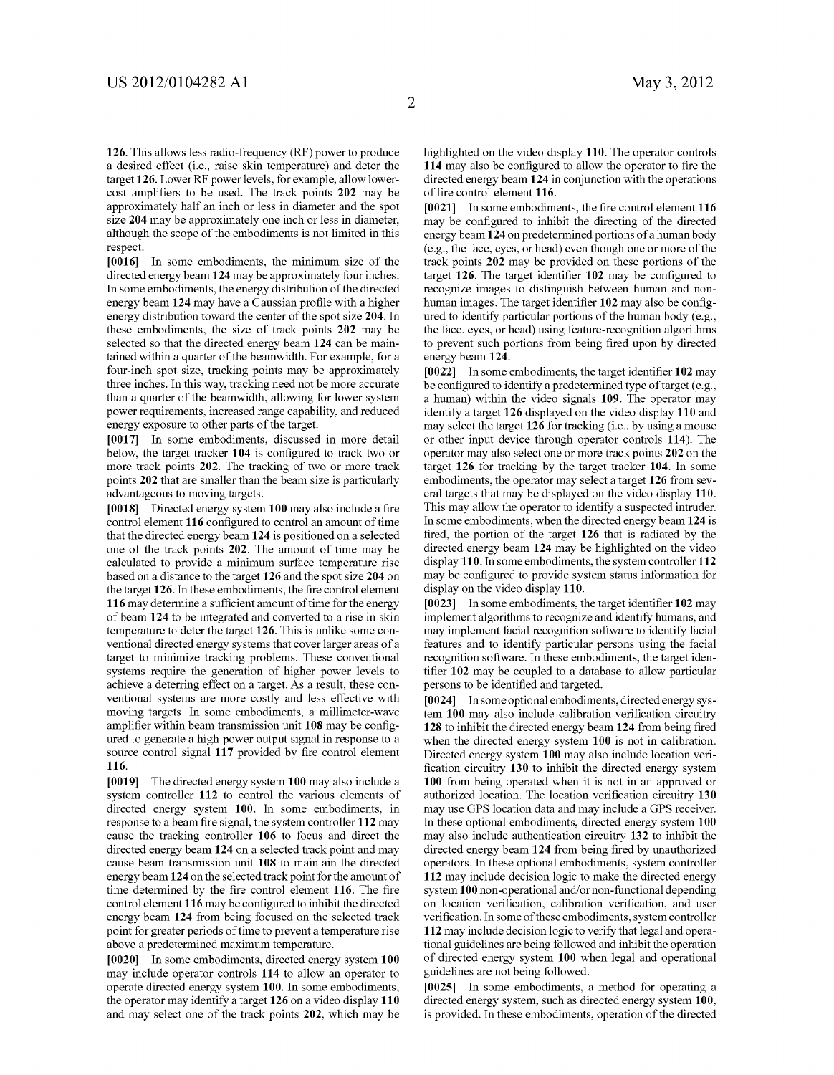126. This allows less radio-frequency (RF) power to produce a desired effect (i.e., raise skin temperature) and deter the target 126. Lower RF power levels, for example, allow lower cost amplifiers to be used. The track points 202 may be approximately half an inch or less in diameter and the spot size 204 may be approximately one inch or less in diameter, although the scope of the embodiments is not limited in this respect.

[0016] In some embodiments, the minimum size of the directed energy beam 124 may be approximately four inches. In some embodiments, the energy distribution of the directed energy beam 124 may have a Gaussian profile with a higher energy distribution toward the center of the spot size 204. In these embodiments, the size of track points 202 may be selected so that the directed energy beam 124 can be main tained within a quarter of the beamwidth. For example, for a four-inch spot size, tracking points may be approximately three inches. In this way, tracking need not be more accurate than a quarter of the beamwidth, allowing for lower system power requirements, increased range capability, and reduced energy exposure to other parts of the target.

[0017] In some embodiments, discussed in more detail below, the target tracker 104 is configured to track two or more track points 202. The tracking of two or more track points 202 that are smaller than the beam size is particularly advantageous to moving targets.

[0018] Directed energy system 100 may also include a fire control element 116 configured to control an amount of time that the directed energy beam 124 is positioned on a selected one of the track points 202. The amount of time may be calculated to provide a minimum surface temperature rise based on a distance to the target 126 and the spot size 204 on the target 126. In these embodiments, the fire control element 116 may determine a sufficient amount of time for the energy of beam 124 to be integrated and converted to a rise in skin temperature to deter the target 126. This is unlike some con ventional directed energy systems that cover larger areas of a target to minimize tracking problems. These conventional systems require the generation of higher power levels to achieve a deterring effect on a target. As a result, these con ventional systems are more costly and less effective with moving targets. In some embodiments, a millimeter-wave amplifier within beam transmission unit 108 may be configured to generate a high-power output signal in response to a source control signal 117 provided by fire control element 116.

[0019] The directed energy system 100 may also include a system controller 112 to control the various elements of directed energy system 100. In some embodiments, in response to a beam fire signal, the system controller 112 may cause the tracking controller  $106$  to focus and direct the directed energy beam  $124$  on a selected track point and may cause beam transmission unit 108 to maintain the directed energy beam 124 on the selected track point for the amount of time determined by the fire control element 116. The fire control element 116 may be configured to inhibit the directed energy beam 124 from being focused on the selected track point for greater periods of time to prevent a temperature rise above a predetermined maximum temperature.

[0020] In some embodiments, directed energy system 100 may include operator controls 114 to allow an operator to operate directed energy system 100. In some embodiments, the operator may identify a target 126 on a video display 110 and may select one of the track points 202, which may be highlighted on the video display 110. The operator controls 114 may also be configured to allow the operator to fire the directed energy beam 124 in conjunction with the operations of fire control element 116.

[0021] In some embodiments, the fire control element 116 may be configured to inhibit the directing of the directed energy beam 124 on predetermined portions of a human body (e.g., the face, eyes, or head) even though one or more of the track points 202 may be provided on these portions of the target 126. The target identifier 102 may be configured to recognize images to distinguish between human and non human images. The target identifier 102 may also be config ured to identify particular portions of the human body (e.g., the face, eyes, or head) using feature-recognition algorithms to prevent such portions from being fired upon by directed energy beam 124.<br>[0022] In some embodiments, the target identifier 102 may

be configured to identify a predetermined type of target (e.g., a human) within the video signals 109. The operator may identify a target 126 displayed on the video display 110 and may select the target 126 for tracking (i.e., by using a mouse or other input device through operator controls 114). The operator may also select one or more track points 202 on the target 126 for tracking by the target tracker 104. In some embodiments, the operator may select a target 126 from sev eral targets that may be displayed on the video display 110. This may allow the operator to identify a suspected intruder. In some embodiments, when the directed energy beam 124 is fired, the portion of the target 126 that is radiated by the directed energy beam 124 may be highlighted on the video display 110. In some embodiments, the system controller 112 may be configured to provide system status information for display on the video display  $110$ .<br>[0023] In some embodiments, the target identifier 102 may

implement algorithms to recognize and identify humans, and may implement facial recognition Software to identify facial features and to identify particular persons using the facial recognition software. In these embodiments, the target iden tifier 102 may be coupled to a database to allow particular persons to be identified and targeted.

[0024] In some optional embodiments, directed energy system 100 may also include calibration verification circuitry 128 to inhibit the directed energy beam 124 from being fired when the directed energy system 100 is not in calibration. Directed energy system 100 may also include location veri fication circuitry 130 to inhibit the directed energy system 100 from being operated when it is not in an approved or authorized location. The location verification circuitry 130 may use GPS location data and may include a GPS receiver. In these optional embodiments, directed energy system 100 may also include authentication circuitry 132 to inhibit the directed energy beam 124 from being fired by unauthorized operators. In these optional embodiments, system controller 112 may include decision logic to make the directed energy system 100 non-operational and/or non-functional depending on location verification, calibration verification, and user Verification. In some of these embodiments, system controller 112 may include decision logic to verify that legal and operational guidelines are being followed and inhibit the operation of directed energy system 100 when legal and operational guidelines are not being followed.

[0025] In some embodiments, a method for operating a directed energy system, such as directed energy system 100, is provided. In these embodiments, operation of the directed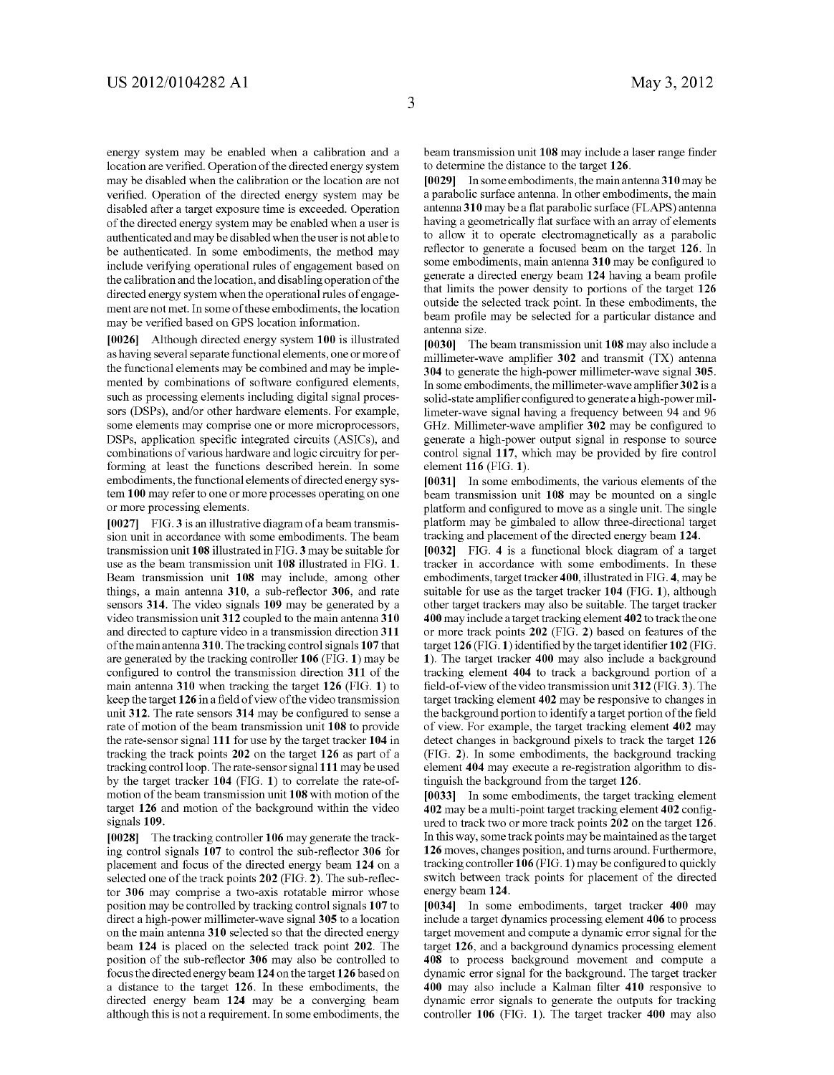energy system may be enabled when a calibration and a location are verified. Operation of the directed energy system may be disabled when the calibration or the location are not verified. Operation of the directed energy system may be disabled after a target exposure time is exceeded. Operation of the directed energy system may be enabled when a user is authenticated and may be disabled when the user is not able to be authenticated. In some embodiments, the method may include verifying operational rules of engagement based on the calibration and the location, and disabling operation of the directed energy system when the operational rules of engage ment are not met. In some of these embodiments, the location may be verified based on GPS location information.

[0026] Although directed energy system 100 is illustrated as having several separate functional elements, one or more of the functional elements may be combined and may be imple mented by combinations of software configured elements, such as processing elements including digital signal processors (DSPs), and/or other hardware elements. For example, some elements may comprise one or more microprocessors, DSPs, application specific integrated circuits (ASICs), and combinations of various hardware and logic circuitry for per forming at least the functions described herein. In some embodiments, the functional elements of directed energy sys tem 100 may refer to one or more processes operating on one or more processing elements.

[0027] FIG. 3 is an illustrative diagram of a beam transmission unit in accordance with some embodiments. The beam transmission unit 108 illustrated in FIG.3 may be suitable for use as the beam transmission unit 108 illustrated in FIG. 1. Beam transmission unit 108 may include, among other things, a main antenna 310, a sub-reflector 306, and rate sensors 314. The video signals 109 may be generated by a video transmission unit 312 coupled to the main antenna 310 and directed to capture video in a transmission direction 311 of the main antenna 310. The tracking control signals 107 that are generated by the tracking controller 106 (FIG. 1) may be configured to control the transmission direction 311 of the main antenna 310 when tracking the target 126 (FIG. 1) to keep the target 126 in a field of view of the video transmission unit 312. The rate sensors 314 may be configured to sense a rate of motion of the beam transmission unit 108 to provide the rate-sensor signal 111 for use by the target tracker 104 in tracking the track points 202 on the target 126 as part of a tracking control loop. The rate-sensor signal 111 may be used by the target tracker 104 (FIG. 1) to correlate the rate-of motion of the beam transmission unit 108 with motion of the target 126 and motion of the background within the video signals 109.

[0028] The tracking controller 106 may generate the tracking control signals 107 to control the sub-reflector 306 for placement and focus of the directed energy beam 124 on a selected one of the track points 202 (FIG. 2). The sub-reflec tor 306 may comprise a two-axis rotatable mirror whose position may be controlled by tracking control signals 107 to direct a high-power millimeter-wave signal 305 to a location on the main antenna 310 selected so that the directed energy beam 124 is placed on the selected track point 202. The position of the sub-reflector 306 may also be controlled to focus the directed energy beam 124 on the target 126 based on a distance to the target 126. In these embodiments, the directed energy beam 124 may be a converging beam although this is not a requirement. In some embodiments, the beam transmission unit 108 may include a laser range finder to determine the distance to the target 126.

[0029] In some embodiments, the main antenna 310 may be a parabolic surface antenna. In other embodiments, the main antenna 310 may be a flat parabolic surface (FLAPS) antenna having a geometrically flat surface with an array of elements to allow it to operate electromagnetically as a parabolic reflector to generate a focused beam on the target 126. In some embodiments, main antenna 310 may be configured to generate a directed energy beam 124 having a beam profile that limits the power density to portions of the target 126 outside the selected track point. In these embodiments, the beam profile may be selected for a particular distance and antenna size.

[0030] The beam transmission unit 108 may also include a millimeter-wave amplifier 302 and transmit (TX) antenna 304 to generate the high-power millimeter-wave signal 305. In some embodiments, the millimeter-wave amplifier 302 is a solid-state amplifier configured to generate a high-power millimeter-wave signal having a frequency between 94 and 96 GHz. Millimeter-wave amplifier 302 may be configured to generate a high-power output signal in response to source control signal 117, which may be provided by fire control element 116 (FIG. 1).

[0031] In some embodiments, the various elements of the beam transmission unit  $108$  may be mounted on a single platform and configured to move as a single unit. The single platform may be gimbaled to allow three-directional target tracking and placement of the directed energy beam 124.

[0032] FIG. 4 is a functional block diagram of a target tracker in accordance with some embodiments. In these embodiments, target tracker 400, illustrated in FIG.4, may be suitable for use as the target tracker 104 (FIG. 1), although other target trackers may also be suitable. The target tracker 400 may include a target tracking element 402 to track the one or more track points 202 (FIG. 2) based on features of the target 126 (FIG. 1) identified by the target identifier 102 (FIG. 1). The target tracker 400 may also include a background tracking element 404 to track a background portion of a field-of-view of the video transmission unit 312 (FIG.3). The target tracking element 402 may be responsive to changes in the background portion to identify a target portion of the field of view. For example, the target tracking element 402 may detect changes in background pixels to track the target 126 (FIG. 2). In some embodiments, the background tracking element 404 may execute a re-registration algorithm to distinguish the background from the target 126.

[0033] In some embodiments, the target tracking element 402 may be a multi-point target tracking element 402 config ured to track two or more track points 202 on the target 126. In this way, some track points may be maintained as the target 126 moves, changes position, and turns around. Furthermore, tracking controller  $106$  (FIG.1) may be configured to quickly switch between track points for placement of the directed energy beam 124.<br>[0034] In some embodiments, target tracker 400 may

include a target dynamics processing element 406 to process target movement and compute a dynamic error signal for the target 126, and a background dynamics processing element 408 to process background movement and compute a dynamic error signal for the background. The target tracker 400 may also include a Kalman filter 410 responsive to dynamic error signals to generate the outputs for tracking controller 106 (FIG. 1). The target tracker 400 may also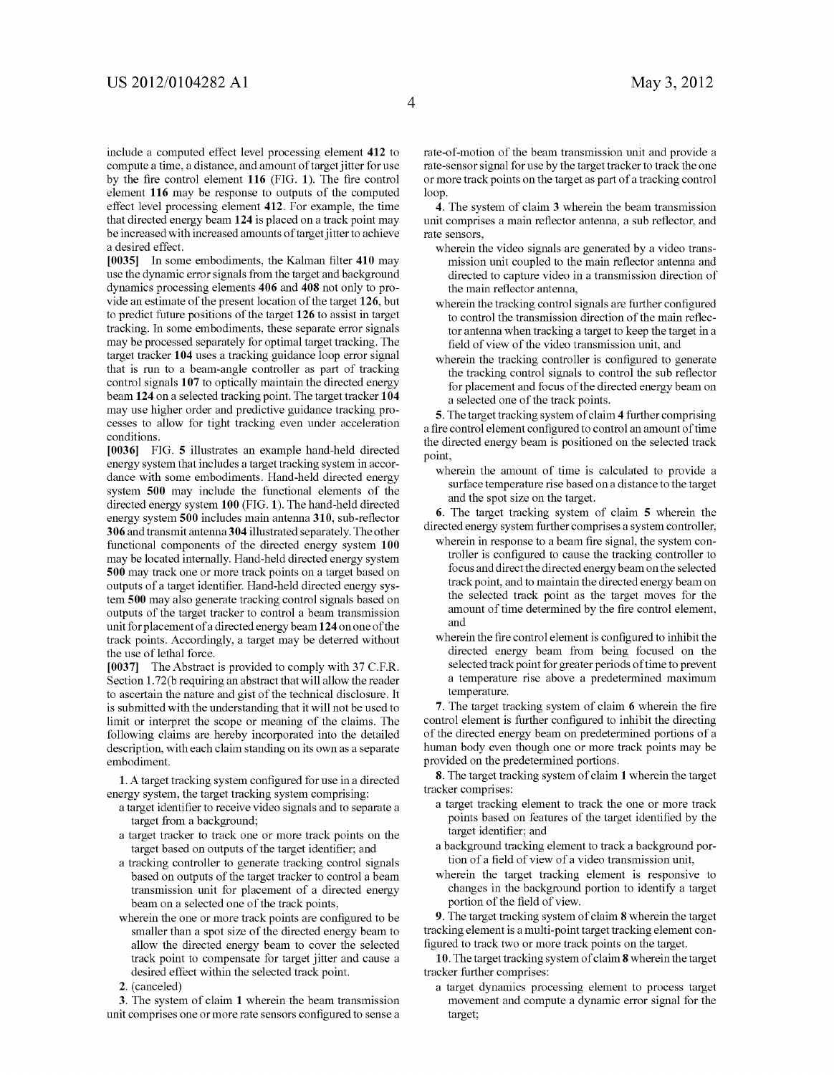include a computed effect level processing element 412 to compute a time, a distance, and amount of target jitter for use by the fire control element 116 (FIG. 1). The fire control element 116 may be response to outputs of the computed effect level processing element 412. For example, the time that directed energy beam 124 is placed on a track point may be increased with increased amounts of target jitter to achieve a desired effect.

[0035] In some embodiments, the Kalman filter 410 may use the dynamic error signals from the target and background dynamics processing elements 406 and 408 not only to provide an estimate of the present location of the target 126, but to predict future positions of the target 126 to assist in target tracking. In some embodiments, these separate error signals may be processed separately for optimal target tracking. The target tracker 104 uses a tracking guidance loop error signal that is run to a beam-angle controller as part of tracking control signals 107 to optically maintain the directed energy beam 124 on a selected tracking point. The target tracker 104 may use higher order and predictive guidance tracking pro cesses to allow for tight tracking even under acceleration conditions.

[0036] FIG. 5 illustrates an example hand-held directed energy system that includes a target tracking system in accor dance with some embodiments. Hand-held directed energy system 500 may include the functional elements of the directed energy system 100 (FIG. 1). The hand-held directed energy system 500 includes main antenna 310, sub-reflector 306 and transmit antenna 304 illustrated separately. The other functional components of the directed energy system 100 may be located internally. Hand-held directed energy system 500 may track one or more track points on a target based on outputs of a target identifier. Hand-held directed energy sys tem 500 may also generate tracking control signals based on outputs of the target tracker to control a beam transmission unit for placement of a directed energy beam 124 on one of the track points. Accordingly, a target may be deterred without the use of lethal force.

[0037] The Abstract is provided to comply with 37 C.F.R. Section 1.72(b requiring an abstract that will allow the reader to ascertain the nature and gist of the technical disclosure. It is submitted with the understanding that it will not be used to limit or interpret the scope or meaning of the claims. The following claims are hereby incorporated into the detailed description, with each claim standing on its own as a separate embodiment.

1. A target tracking system configured for use in a directed energy system, the target tracking system comprising:

- a target identifier to receive video signals and to separate a target from a background;
- a target tracker to track one or more track points on the target based on outputs of the target identifier, and
- a tracking controller to generate tracking control signals based on outputs of the target tracker to control a beam transmission unit for placement of a directed energy beam on a selected one of the track points,
- wherein the one or more track points are configured to be smaller than a spot size of the directed energy beam to allow the directed energy beam to cover the selected track point to compensate for target jitter and cause a desired effect within the selected track point.
- 2. (canceled)

3. The system of claim 1 wherein the beam transmission unit comprises one or more rate sensors configured to sense a rate-of-motion of the beam transmission unit and provide a rate-sensor signal for use by the target tracker to track the one or more track points on the target as part of a tracking control loop.

4. The system of claim 3 wherein the beam transmission unit comprises a main reflector antenna, a Sub reflector, and rate sensors.

- wherein the video signals are generated by a video trans mission unit coupled to the main reflector antenna and directed to capture video in a transmission direction of the main reflector antenna,
- wherein the tracking control signals are further configured to control the transmission direction of the main reflec tor antenna when tracking a target to keep the target in a field of view of the video transmission unit, and
- wherein the tracking controller is configured to generate the tracking control signals to control the Sub reflector for placement and focus of the directed energy beam on a selected one of the track points.

5. The target tracking system of claim 4 further comprising a fire control element configured to control an amount of time the directed energy beam is positioned on the selected track point,

wherein the amount of time is calculated to provide a surface temperature rise based on a distance to the target and the spot size on the target.

6. The target tracking system of claim 5 wherein the directed energy system further comprises a system controller,

- wherein in response to a beam fire signal, the system con troller is configured to cause the tracking controller to focus and direct the directed energy beam on the selected track point, and to maintain the directed energy beam on the selected track point as the target moves for the amount of time determined by the fire control element, and
- wherein the fire control element is configured to inhibit the directed energy beam from being focused on the selected track point for greater periods of time to prevent a temperature rise above a predetermined maximum temperature.

7. The target tracking system of claim 6 wherein the fire control element is further configured to inhibit the directing of the directed energy beam on predetermined portions of a human body even though one or more track points may be provided on the predetermined portions.

8. The target tracking system of claim 1 wherein the target tracker comprises:

- a target tracking element to track the one or more track points based on features of the target identified by the target identifier; and
- a background tracking element to track a background por tion of a field of view of a video transmission unit,
- wherein the target tracking element is responsive to changes in the background portion to identify a target portion of the field of view.<br>9. The target tracking system of claim 8 wherein the target

tracking element is a multi-point target tracking element configured to track two or more track points on the target.

10. The target tracking system of claim 8 wherein the target tracker further comprises:

a target dynamics processing element to process target movement and compute a dynamic error signal for the target;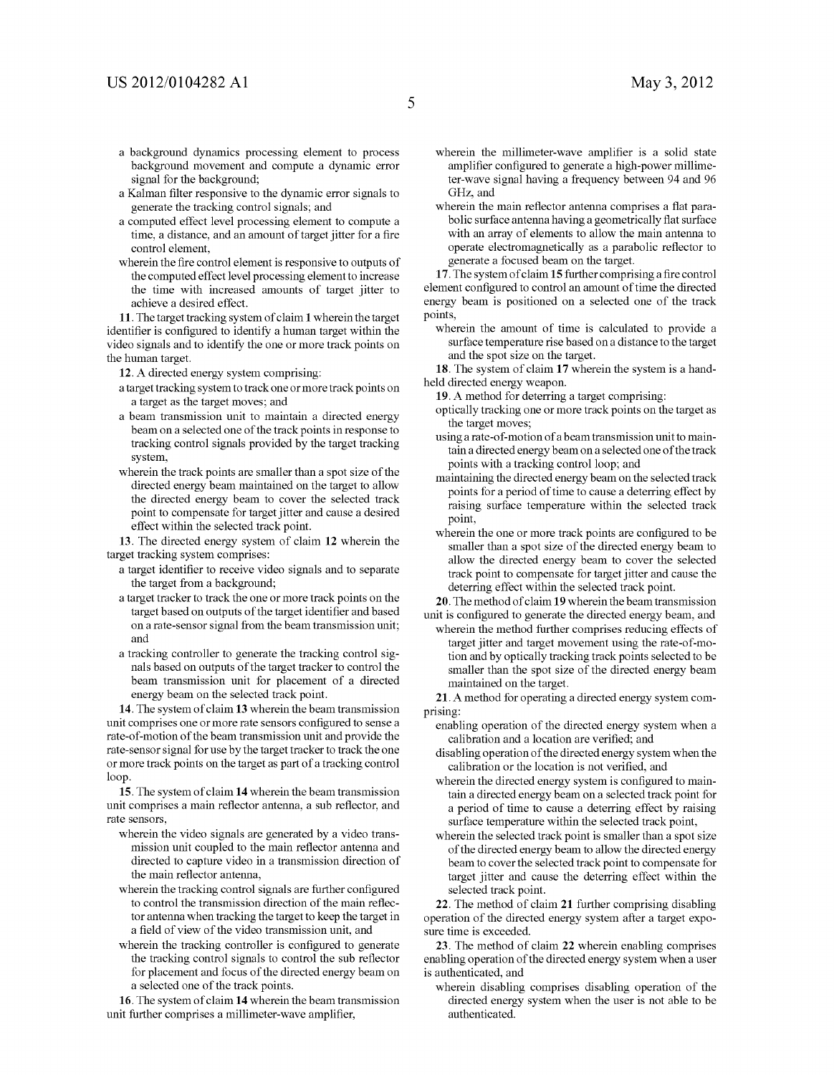- a background dynamics processing element to process background movement and compute a dynamic error signal for the background;
- a Kalman filter responsive to the dynamic error signals to generate the tracking control signals; and
- a computed effect level processing element to compute a time, a distance, and an amount of target jitter for a fire control element,
- wherein the fire control element is responsive to outputs of the computed effect level processing element to increase the time with increased amounts of target jitter to achieve a desired effect.

11. The target tracking system of claim 1 wherein the target identifier is configured to identify a human target within the video signals and to identify the one or more track points on the human target.

12. A directed energy system comprising:

- a target tracking system to track one or more track points on a target as the target moves; and
- a beam transmission unit to maintain a directed energy beam on a selected one of the track points in response to tracking control signals provided by the target tracking system,
- wherein the track points are smaller than a spot size of the directed energy beam maintained on the target to allow the directed energy beam to cover the selected track point to compensate for target jitter and cause a desired effect within the selected track point.

13. The directed energy system of claim 12 wherein the target tracking system comprises:

- a target identifier to receive video signals and to separate the target from a background;
- a target tracker to track the one or more track points on the target based on outputs of the target identifier and based on a rate-sensor signal from the beam transmission unit; and
- a tracking controller to generate the tracking control sig nals based on outputs of the target tracker to control the beam transmission unit for placement of a directed energy beam on the selected track point.

14. The system of claim 13 wherein the beam transmission unit comprises one or more rate sensors configured to sense a rate-of-motion of the beam transmission unit and provide the rate-sensor signal for use by the target tracker to track the one or more track points on the target as part of a tracking control loop.

15. The system of claim 14 wherein the beam transmission unit comprises a main reflector antenna, a sub reflector, and rate sensors,

- wherein the video signals are generated by a video trans mission unit coupled to the main reflector antenna and directed to capture video in a transmission direction of the main reflector antenna,
- wherein the tracking control signals are further configured to control the transmission direction of the main reflec tor antenna when tracking the target to keep the target in a field of view of the video transmission unit, and
- wherein the tracking controller is configured to generate the tracking control signals to control the Sub reflector for placement and focus of the directed energy beam on a selected one of the track points.

16. The system of claim 14 wherein the beam transmission unit further comprises a millimeter-wave amplifier,

- wherein the millimeter-wave amplifier is a solid state amplifier configured to generate a high-power millime ter-wave signal having a frequency between 94 and 96
- GHz, and<br>wherein the main reflector antenna comprises a flat parabolic surface antenna having a geometrically flat surface with an array of elements to allow the main antenna to operate electromagnetically as a parabolic reflector to generate a focused beam on the target.

17. The system of claim 15 further comprising a fire control element configured to control an amount of time the directed energy beam is positioned on a selected one of the track points,

wherein the amount of time is calculated to provide a surface temperature rise based on a distance to the target and the spot size on the target.

18. The system of claim 17 wherein the system is a hand held directed energy weapon.

19. A method for deterring a target comprising:

- optically tracking one or more track points on the target as the target moves;
- using a rate-of-motion of a beam transmission unit to main tain a directed energy beam on a selected one of the track points with a tracking control loop; and
- maintaining the directed energy beam on the selected track points for a period of time to cause a deterring effect by raising surface temperature within the selected track point,
- wherein the one or more track points are configured to be Smaller than a spot size of the directed energy beam to allow the directed energy beam to cover the selected track point to compensate for target jitter and cause the deterring effect within the selected track point.

20. The method of claim 19 wherein the beam transmission unit is configured to generate the directed energy beam, and

wherein the method further comprises reducing effects of target jitter and target movement using the rate-of-mo tion and by optically tracking track points selected to be smaller than the spot size of the directed energy beam maintained on the target.

21. A method for operating a directed energy system com prising:

- enabling operation of the directed energy system when a calibration and a location are verified; and
- disabling operation of the directed energy system when the calibration or the location is not verified, and
- wherein the directed energy system is configured to main tain a directed energy beam on a selected track point for a period of time to cause a deterring effect by raising surface temperature within the selected track point,
- wherein the selected track point is smaller than a spot size of the directed energy beam to allow the directed energy beam to cover the selected track point to compensate for target jitter and cause the deterring effect within the selected track point.<br>22. The method of claim 21 further comprising disabling

operation of the directed energy system after a target exposure time is exceeded.

23. The method of claim 22 wherein enabling comprises enabling operation of the directed energy system when a user is authenticated, and

wherein disabling comprises disabling operation of the directed energy system when the user is not able to be authenticated.